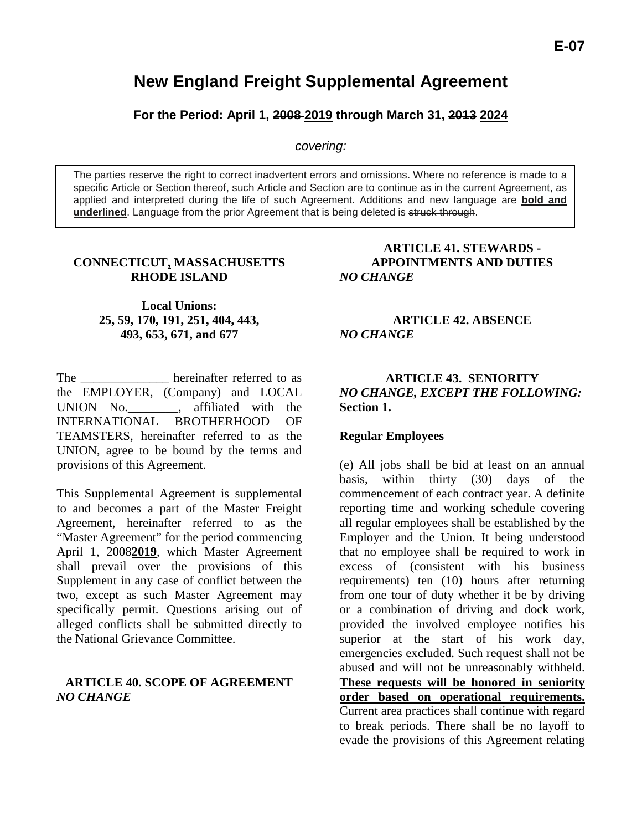# **New England Freight Supplemental Agreement**

**For the Period: April 1, 2008 2019 through March 31, 2013 2024**

*covering:*

The parties reserve the right to correct inadvertent errors and omissions. Where no reference is made to a specific Article or Section thereof, such Article and Section are to continue as in the current Agreement, as applied and interpreted during the life of such Agreement. Additions and new language are **bold and underlined**. Language from the prior Agreement that is being deleted is struck through.

## **CONNECTICUT, MASSACHUSETTS RHODE ISLAND**

**Local Unions: 25, 59, 170, 191, 251, 404, 443, 493, 653, 671, and 677**

The \_\_\_\_\_\_\_\_\_\_\_\_\_\_\_ hereinafter referred to as the EMPLOYER, (Company) and LOCAL UNION No. 4ffiliated with the INTERNATIONAL BROTHERHOOD OF TEAMSTERS, hereinafter referred to as the UNION, agree to be bound by the terms and provisions of this Agreement.

This Supplemental Agreement is supplemental to and becomes a part of the Master Freight Agreement, hereinafter referred to as the "Master Agreement" for the period commencing April 1, 2008**2019**, which Master Agreement shall prevail over the provisions of this Supplement in any case of conflict between the two, except as such Master Agreement may specifically permit. Questions arising out of alleged conflicts shall be submitted directly to the National Grievance Committee.

## **ARTICLE 40. SCOPE OF AGREEMENT** *NO CHANGE*

### **ARTICLE 41. STEWARDS - APPOINTMENTS AND DUTIES** *NO CHANGE*

## **ARTICLE 42. ABSENCE** *NO CHANGE*

## **ARTICLE 43. SENIORITY** *NO CHANGE, EXCEPT THE FOLLOWING:* **Section 1.**

#### **Regular Employees**

(e) All jobs shall be bid at least on an annual basis, within thirty (30) days of the commencement of each contract year. A definite reporting time and working schedule covering all regular employees shall be established by the Employer and the Union. It being understood that no employee shall be required to work in excess of (consistent with his business requirements) ten (10) hours after returning from one tour of duty whether it be by driving or a combination of driving and dock work, provided the involved employee notifies his superior at the start of his work day, emergencies excluded. Such request shall not be abused and will not be unreasonably withheld. **These requests will be honored in seniority order based on operational requirements.**  Current area practices shall continue with regard to break periods. There shall be no layoff to evade the provisions of this Agreement relating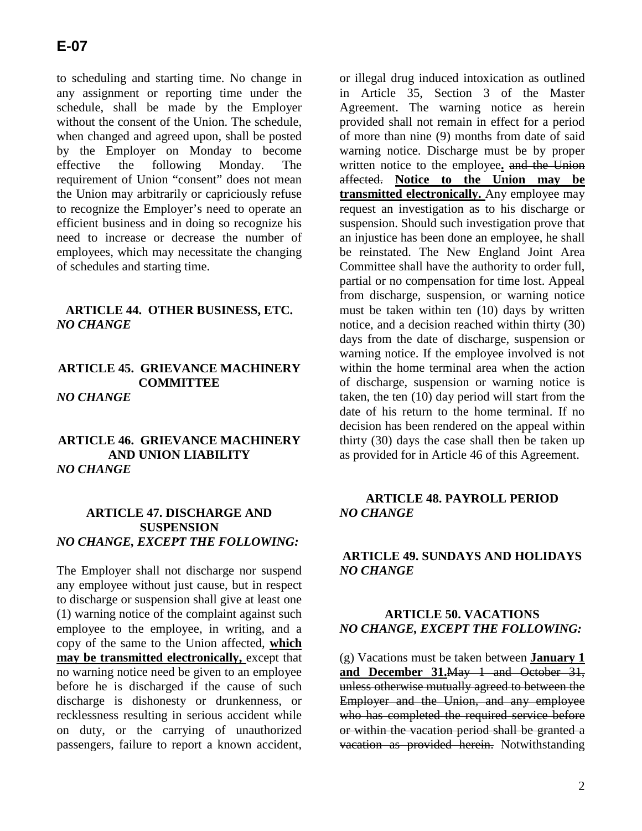to scheduling and starting time. No change in any assignment or reporting time under the schedule, shall be made by the Employer without the consent of the Union. The schedule, when changed and agreed upon, shall be posted by the Employer on Monday to become effective the following Monday. The requirement of Union "consent" does not mean the Union may arbitrarily or capriciously refuse to recognize the Employer's need to operate an efficient business and in doing so recognize his need to increase or decrease the number of employees, which may necessitate the changing of schedules and starting time.

#### **ARTICLE 44. OTHER BUSINESS, ETC.** *NO CHANGE*

## **ARTICLE 45. GRIEVANCE MACHINERY COMMITTEE** *NO CHANGE*

## **ARTICLE 46. GRIEVANCE MACHINERY AND UNION LIABILITY** *NO CHANGE*

## **ARTICLE 47. DISCHARGE AND SUSPENSION** *NO CHANGE, EXCEPT THE FOLLOWING:*

The Employer shall not discharge nor suspend any employee without just cause, but in respect to discharge or suspension shall give at least one (1) warning notice of the complaint against such employee to the employee, in writing, and a copy of the same to the Union affected, **which may be transmitted electronically,** except that no warning notice need be given to an employee before he is discharged if the cause of such discharge is dishonesty or drunkenness, or recklessness resulting in serious accident while on duty, or the carrying of unauthorized passengers, failure to report a known accident,

or illegal drug induced intoxication as outlined in Article 35, Section 3 of the Master Agreement. The warning notice as herein provided shall not remain in effect for a period of more than nine (9) months from date of said warning notice. Discharge must be by proper written notice to the employee**.** and the Union affected. **Notice to the Union may be transmitted electronically.** Any employee may request an investigation as to his discharge or suspension. Should such investigation prove that an injustice has been done an employee, he shall be reinstated. The New England Joint Area Committee shall have the authority to order full, partial or no compensation for time lost. Appeal from discharge, suspension, or warning notice must be taken within ten (10) days by written notice, and a decision reached within thirty (30) days from the date of discharge, suspension or warning notice. If the employee involved is not within the home terminal area when the action of discharge, suspension or warning notice is taken, the ten (10) day period will start from the date of his return to the home terminal. If no decision has been rendered on the appeal within thirty (30) days the case shall then be taken up as provided for in Article 46 of this Agreement.

## **ARTICLE 48. PAYROLL PERIOD** *NO CHANGE*

## **ARTICLE 49. SUNDAYS AND HOLIDAYS** *NO CHANGE*

## **ARTICLE 50. VACATIONS** *NO CHANGE, EXCEPT THE FOLLOWING:*

(g) Vacations must be taken between **January 1 and December 31.**May 1 and October 31, unless otherwise mutually agreed to between the Employer and the Union, and any employee who has completed the required service before or within the vacation period shall be granted a vacation as provided herein. Notwithstanding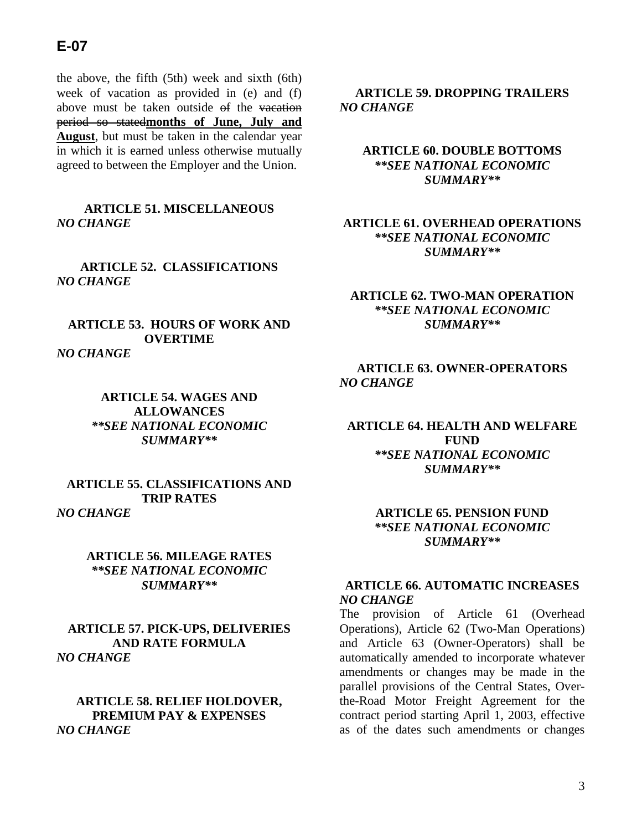## **E-07**

the above, the fifth (5th) week and sixth (6th) week of vacation as provided in (e) and (f) above must be taken outside of the vacation period so stated**months of June, July and August**, but must be taken in the calendar year in which it is earned unless otherwise mutually agreed to between the Employer and the Union.

**ARTICLE 51. MISCELLANEOUS** *NO CHANGE*

**ARTICLE 52. CLASSIFICATIONS** *NO CHANGE*

**ARTICLE 53. HOURS OF WORK AND OVERTIME** *NO CHANGE*

> **ARTICLE 54. WAGES AND ALLOWANCES** *\*\*SEE NATIONAL ECONOMIC SUMMARY\*\**

**ARTICLE 55. CLASSIFICATIONS AND TRIP RATES** *NO CHANGE*

> **ARTICLE 56. MILEAGE RATES** *\*\*SEE NATIONAL ECONOMIC SUMMARY\*\**

**ARTICLE 57. PICK-UPS, DELIVERIES AND RATE FORMULA** *NO CHANGE*

**ARTICLE 58. RELIEF HOLDOVER, PREMIUM PAY & EXPENSES** *NO CHANGE*

**ARTICLE 59. DROPPING TRAILERS** *NO CHANGE*

**ARTICLE 60. DOUBLE BOTTOMS** *\*\*SEE NATIONAL ECONOMIC SUMMARY\*\**

#### **ARTICLE 61. OVERHEAD OPERATIONS** *\*\*SEE NATIONAL ECONOMIC SUMMARY\*\**

#### **ARTICLE 62. TWO-MAN OPERATION** *\*\*SEE NATIONAL ECONOMIC SUMMARY\*\**

#### **ARTICLE 63. OWNER-OPERATORS** *NO CHANGE*

**ARTICLE 64. HEALTH AND WELFARE FUND** *\*\*SEE NATIONAL ECONOMIC SUMMARY\*\**

> **ARTICLE 65. PENSION FUND** *\*\*SEE NATIONAL ECONOMIC SUMMARY\*\**

## **ARTICLE 66. AUTOMATIC INCREASES** *NO CHANGE*

The provision of Article 61 (Overhead Operations), Article 62 (Two-Man Operations) and Article 63 (Owner-Operators) shall be automatically amended to incorporate whatever amendments or changes may be made in the parallel provisions of the Central States, Overthe-Road Motor Freight Agreement for the contract period starting April 1, 2003, effective as of the dates such amendments or changes